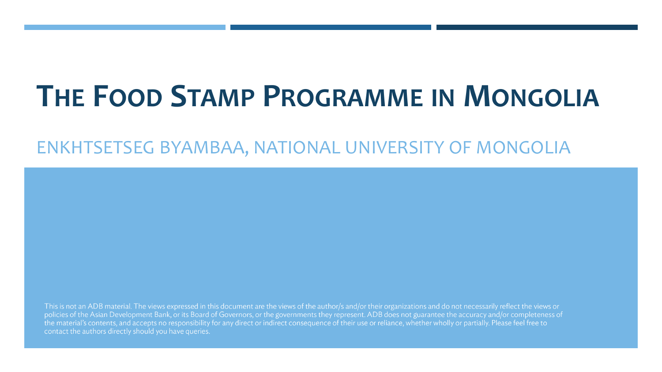### **THE FOOD STAMP PROGRAMME IN MONGOLIA**

#### ENKHTSETSEG BYAMBAA, NATIONAL UNIVERSITY OF MONGOLIA

This is not an ADB material. The views expressed in this document are the views of the author/s and/or their organizations and do not necessarily reflect the views or policies of the Asian Development Bank, or its Board of Governors, or the governments they represent. ADB does not guarantee the accuracy and/or completeness of the material's contents, and accepts no responsibility for any direct or indirect consequence of their use or reliance, whether wholly or partially. Please feel free to contact the authors directly should you have queries.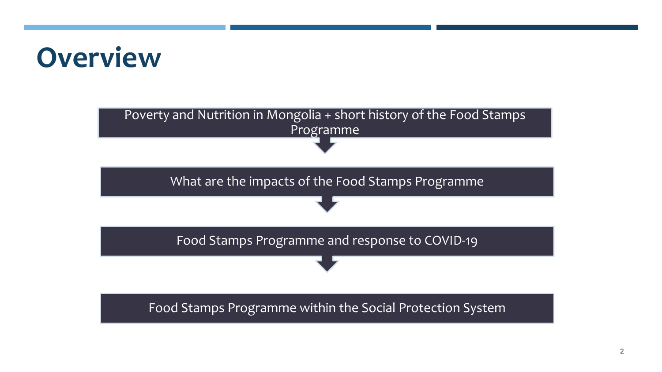### **Overview**

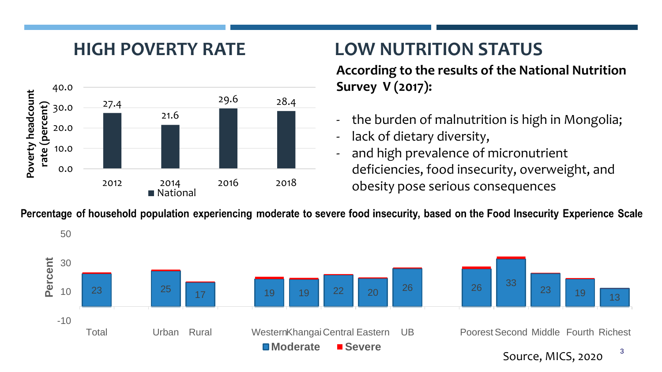

### **HIGH POVERTY RATE LOW NUTRITION STATUS**

**According to the results of the National Nutrition Survey V (2017):** 

- the burden of malnutrition is high in Mongolia;
- lack of dietary diversity,
- and high prevalence of micronutrient deficiencies, food insecurity, overweight, and obesity pose serious consequences

Percentage of household population experiencing moderate to severe food insecurity, based on the Food Insecurity Experience Scale

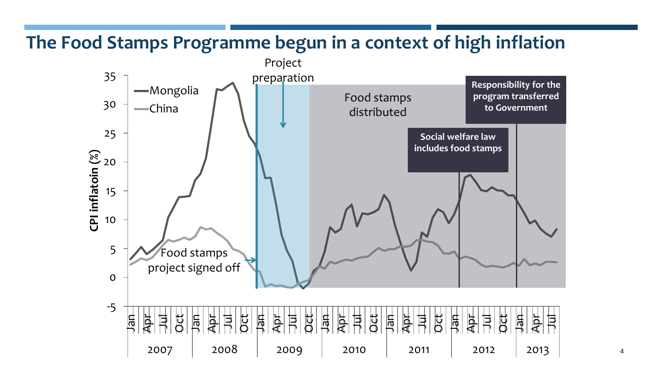#### **The Food Stamps Programme begun in a context of high inflation**



4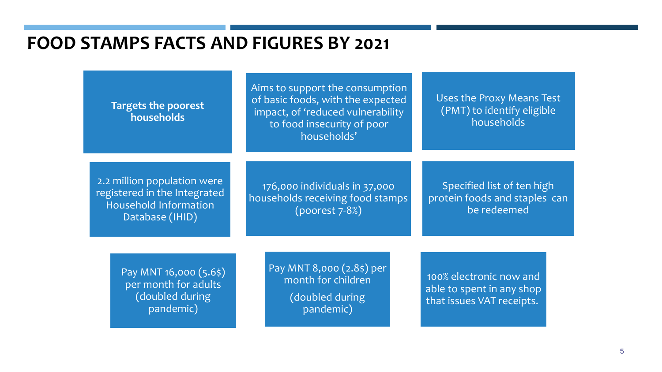#### **FOOD STAMPS FACTS AND FIGURES BY 2021**

**Targets the poorest households**

Aims to support the consumption of basic foods, with the expected impact, of 'reduced vulnerability to food insecurity of poor households'

Uses the Proxy Means Test (PMT) to identify eligible households

2.2 million population were registered in the Integrated Household Information Database (IHID)

176,000 individuals in 37,000 households receiving food stamps (poorest 7-8%)

Specified list of ten high protein foods and staples can be redeemed

Pay MNT 16,000 (5.6\$) per month for adults (doubled during pandemic)

Pay MNT 8,000 (2.8\$) per month for children (doubled during pandemic)

100% electronic now and able to spent in any shop that issues VAT receipts.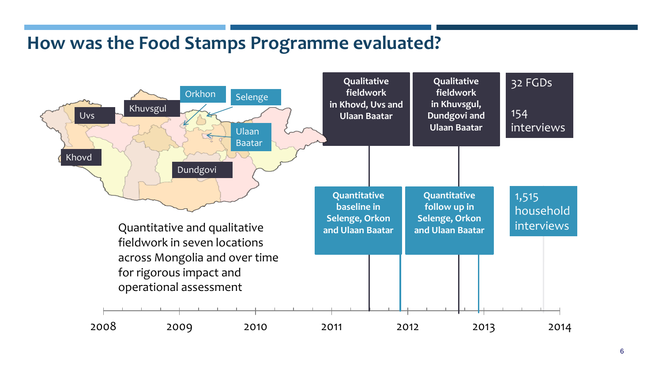#### **How was the Food Stamps Programme evaluated?**

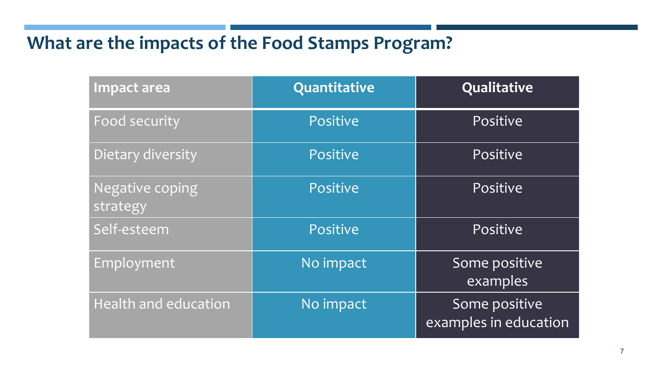### **What are the impacts of the Food Stamps Program?**

| Impact area                 | Quantitative | Qualitative                            |
|-----------------------------|--------------|----------------------------------------|
| Food security               | Positive     | Positive                               |
| Dietary diversity           | Positive     | Positive                               |
| Negative coping<br>strategy | Positive     | Positive                               |
| Self-esteem                 | Positive     | Positive                               |
| Employment                  | No impact    | Some positive<br>examples              |
| Health and education        | No impact    | Some positive<br>examples in education |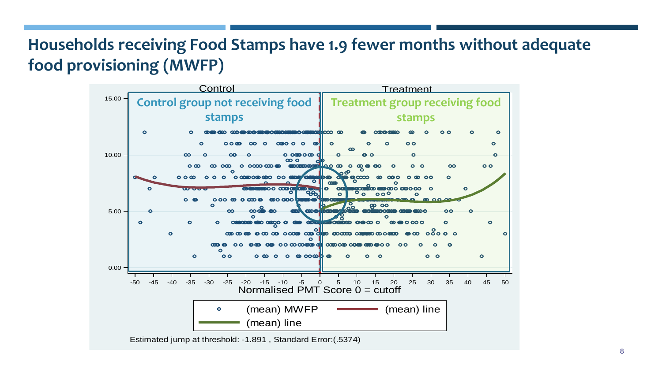#### **Households receiving Food Stamps have 1.9 fewer months without adequate food provisioning (MWFP)**

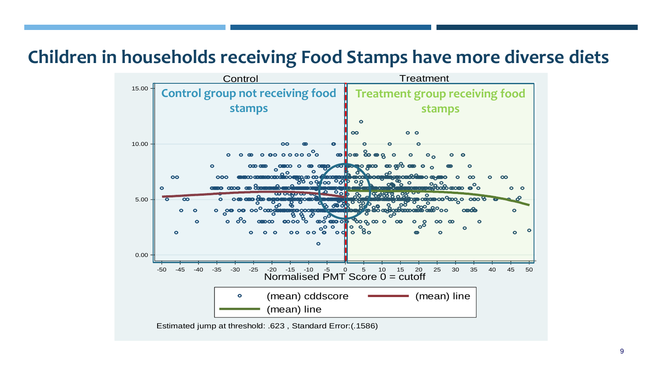#### **Children in households receiving Food Stamps have more diverse diets**

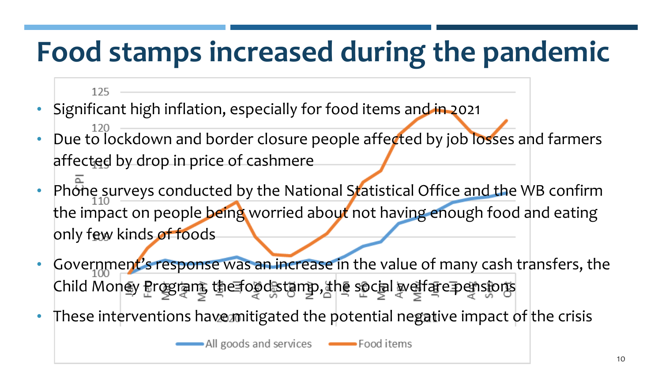# **Food stamps increased during the pandemic**

#### 125

- Significant high inflation, especially for food items and in 2021
- Due to lockdown and border closure people affected by job losses and farmers affected by drop in price of cashmere
- Phone surveys conducted by the National Statistical Office and the WB confirm the impact on people being worried about not having enough food and eating only few kinds of foods
- Government's response was an increase in the value of many cash transfers, the Child Money Program, the foodstamp, the social welfare pensions
- These interventions have mitigated the potential negative impact of the crisis

• All goods and services **COLOGY** Food items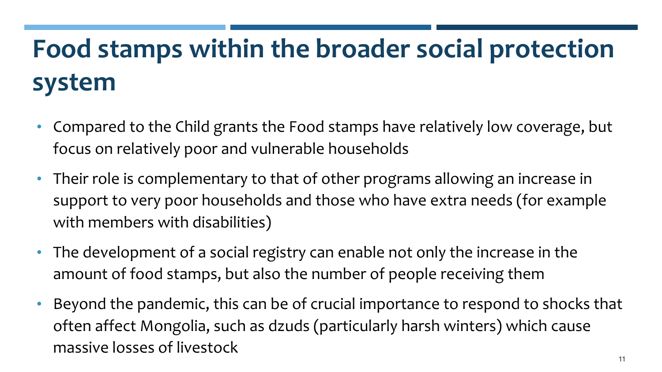### **Food stamps within the broader social protection system**

- Compared to the Child grants the Food stamps have relatively low coverage, but focus on relatively poor and vulnerable households
- Their role is complementary to that of other programs allowing an increase in support to very poor households and those who have extra needs (for example with members with disabilities)
- The development of a social registry can enable not only the increase in the amount of food stamps, but also the number of people receiving them
- Beyond the pandemic, this can be of crucial importance to respond to shocks that often affect Mongolia, such as dzuds (particularly harsh winters) which cause massive losses of livestock